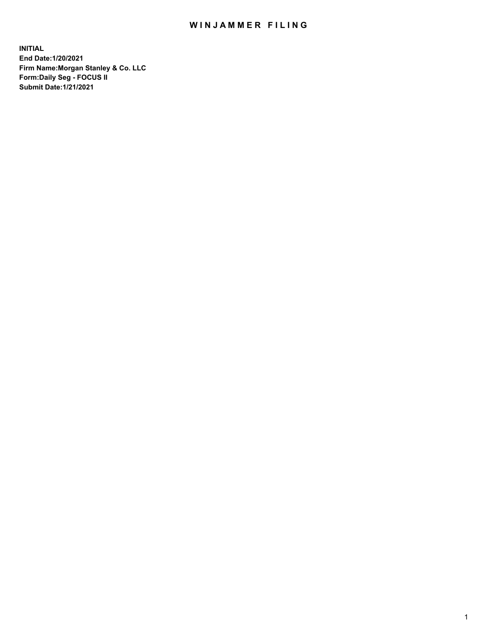## WIN JAMMER FILING

**INITIAL End Date:1/20/2021 Firm Name:Morgan Stanley & Co. LLC Form:Daily Seg - FOCUS II Submit Date:1/21/2021**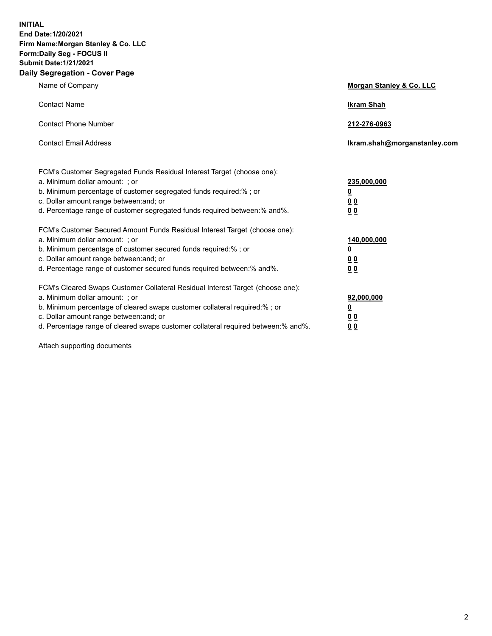**INITIAL End Date:1/20/2021 Firm Name:Morgan Stanley & Co. LLC Form:Daily Seg - FOCUS II Submit Date:1/21/2021 Daily Segregation - Cover Page**

| Name of Company                                                                                                                                                                                                                                                                                                                | <b>Morgan Stanley &amp; Co. LLC</b>                     |
|--------------------------------------------------------------------------------------------------------------------------------------------------------------------------------------------------------------------------------------------------------------------------------------------------------------------------------|---------------------------------------------------------|
| <b>Contact Name</b>                                                                                                                                                                                                                                                                                                            | <b>Ikram Shah</b>                                       |
| <b>Contact Phone Number</b>                                                                                                                                                                                                                                                                                                    | 212-276-0963                                            |
| <b>Contact Email Address</b>                                                                                                                                                                                                                                                                                                   | Ikram.shah@morganstanley.com                            |
| FCM's Customer Segregated Funds Residual Interest Target (choose one):<br>a. Minimum dollar amount: ; or<br>b. Minimum percentage of customer segregated funds required:% ; or<br>c. Dollar amount range between: and; or                                                                                                      | 235,000,000<br><u>0</u><br><u>00</u>                    |
| d. Percentage range of customer segregated funds required between:% and%.<br>FCM's Customer Secured Amount Funds Residual Interest Target (choose one):                                                                                                                                                                        | 0 <sup>0</sup>                                          |
| a. Minimum dollar amount: ; or<br>b. Minimum percentage of customer secured funds required:%; or<br>c. Dollar amount range between: and; or<br>d. Percentage range of customer secured funds required between: % and %.                                                                                                        | 140,000,000<br><u>0</u><br><u>0 0</u><br>0 <sub>0</sub> |
| FCM's Cleared Swaps Customer Collateral Residual Interest Target (choose one):<br>a. Minimum dollar amount: ; or<br>b. Minimum percentage of cleared swaps customer collateral required:% ; or<br>c. Dollar amount range between: and; or<br>d. Percentage range of cleared swaps customer collateral required between:% and%. | 92,000,000<br><u>0</u><br>0 Q<br>0 <sub>0</sub>         |

Attach supporting documents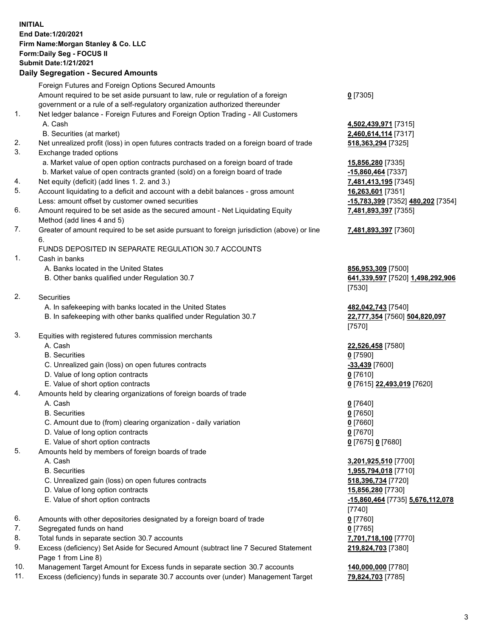## **INITIAL End Date:1/20/2021 Firm Name:Morgan Stanley & Co. LLC Form:Daily Seg - FOCUS II Submit Date:1/21/2021**

## **Daily Segregation - Secured Amounts**

|    | Foreign Futures and Foreign Options Secured Amounts                                                        |                                         |
|----|------------------------------------------------------------------------------------------------------------|-----------------------------------------|
|    | Amount required to be set aside pursuant to law, rule or regulation of a foreign                           | $0$ [7305]                              |
|    | government or a rule of a self-regulatory organization authorized thereunder                               |                                         |
| 1. | Net ledger balance - Foreign Futures and Foreign Option Trading - All Customers                            |                                         |
|    | A. Cash                                                                                                    | 4,502,439,971 [7315]                    |
|    | B. Securities (at market)                                                                                  | 2,460,614,114 [7317]                    |
| 2. | Net unrealized profit (loss) in open futures contracts traded on a foreign board of trade                  | 518, 363, 294 [7325]                    |
| 3. | Exchange traded options                                                                                    |                                         |
|    | a. Market value of open option contracts purchased on a foreign board of trade                             | 15,856,280 [7335]                       |
|    | b. Market value of open contracts granted (sold) on a foreign board of trade                               | -15,860,464 [7337]                      |
| 4. | Net equity (deficit) (add lines 1. 2. and 3.)                                                              | 7,481,413,195 [7345]                    |
| 5. | Account liquidating to a deficit and account with a debit balances - gross amount                          | 16,263,601 [7351]                       |
|    | Less: amount offset by customer owned securities                                                           | -15,783,399 [7352] 480,202 [7354]       |
| 6. | Amount required to be set aside as the secured amount - Net Liquidating Equity                             | 7,481,893,397 [7355]                    |
|    | Method (add lines 4 and 5)                                                                                 |                                         |
| 7. | Greater of amount required to be set aside pursuant to foreign jurisdiction (above) or line<br>6.          | 7,481,893,397 [7360]                    |
|    | FUNDS DEPOSITED IN SEPARATE REGULATION 30.7 ACCOUNTS                                                       |                                         |
| 1. | Cash in banks                                                                                              |                                         |
|    | A. Banks located in the United States                                                                      | 856,953,309 [7500]                      |
|    | B. Other banks qualified under Regulation 30.7                                                             | 641,339,597 [7520] 1,498,292,906        |
|    |                                                                                                            | [7530]                                  |
| 2. | <b>Securities</b>                                                                                          |                                         |
|    | A. In safekeeping with banks located in the United States                                                  | 482,042,743 [7540]                      |
|    | B. In safekeeping with other banks qualified under Regulation 30.7                                         | 22,777,354 [7560] 504,820,097<br>[7570] |
| 3. | Equities with registered futures commission merchants                                                      |                                         |
|    | A. Cash                                                                                                    | 22,526,458 [7580]                       |
|    | <b>B.</b> Securities                                                                                       | $0$ [7590]                              |
|    | C. Unrealized gain (loss) on open futures contracts                                                        | -33,439 [7600]                          |
|    | D. Value of long option contracts                                                                          | $0$ [7610]                              |
|    | E. Value of short option contracts                                                                         | 0 [7615] 22,493,019 [7620]              |
| 4. | Amounts held by clearing organizations of foreign boards of trade                                          |                                         |
|    | A. Cash                                                                                                    | $0$ [7640]                              |
|    | <b>B.</b> Securities                                                                                       | $0$ [7650]                              |
|    | C. Amount due to (from) clearing organization - daily variation                                            | $0$ [7660]                              |
|    | D. Value of long option contracts                                                                          | $0$ [7670]                              |
|    | E. Value of short option contracts                                                                         | 0 [7675] 0 [7680]                       |
| 5. | Amounts held by members of foreign boards of trade                                                         |                                         |
|    | A. Cash                                                                                                    | 3,201,925,510 [7700]                    |
|    | <b>B.</b> Securities                                                                                       | 1,955,794,018 [7710]                    |
|    | C. Unrealized gain (loss) on open futures contracts                                                        | 518,396,734 [7720]                      |
|    | D. Value of long option contracts                                                                          | 15,856,280 [7730]                       |
|    | E. Value of short option contracts                                                                         | -15,860,464 [7735] 5,676,112,078        |
|    |                                                                                                            | [7740]                                  |
| 6. | Amounts with other depositories designated by a foreign board of trade                                     | $0$ [7760]                              |
| 7. | Segregated funds on hand                                                                                   | $0$ [7765]                              |
| 8. | Total funds in separate section 30.7 accounts                                                              | 7,701,718,100 [7770]                    |
| 9. | Excess (deficiency) Set Aside for Secured Amount (subtract line 7 Secured Statement<br>Page 1 from Line 8) | 219,824,703 [7380]                      |

- 10. Management Target Amount for Excess funds in separate section 30.7 accounts **140,000,000** [7780]
- 11. Excess (deficiency) funds in separate 30.7 accounts over (under) Management Target **79,824,703** [7785]

3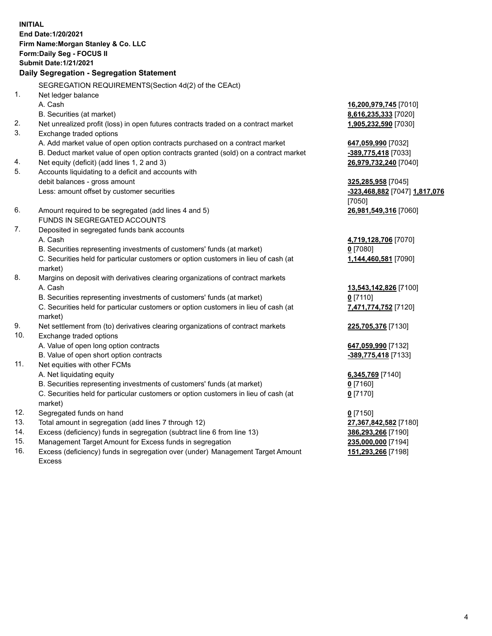**INITIAL End Date:1/20/2021 Firm Name:Morgan Stanley & Co. LLC Form:Daily Seg - FOCUS II Submit Date:1/21/2021 Daily Segregation - Segregation Statement** SEGREGATION REQUIREMENTS(Section 4d(2) of the CEAct) 1. Net ledger balance A. Cash **16,200,979,745** [7010] B. Securities (at market) **8,616,235,333** [7020] 2. Net unrealized profit (loss) in open futures contracts traded on a contract market **1,905,232,590** [7030] 3. Exchange traded options A. Add market value of open option contracts purchased on a contract market **647,059,990** [7032] B. Deduct market value of open option contracts granted (sold) on a contract market **-389,775,418** [7033] 4. Net equity (deficit) (add lines 1, 2 and 3) **26,979,732,240** [7040] 5. Accounts liquidating to a deficit and accounts with debit balances - gross amount **325,285,958** [7045] Less: amount offset by customer securities **-323,468,882** [7047] **1,817,076** [7050] 6. Amount required to be segregated (add lines 4 and 5) **26,981,549,316** [7060] FUNDS IN SEGREGATED ACCOUNTS 7. Deposited in segregated funds bank accounts A. Cash **4,719,128,706** [7070] B. Securities representing investments of customers' funds (at market) **0** [7080] C. Securities held for particular customers or option customers in lieu of cash (at market) **1,144,460,581** [7090] 8. Margins on deposit with derivatives clearing organizations of contract markets A. Cash **13,543,142,826** [7100] B. Securities representing investments of customers' funds (at market) **0** [7110] C. Securities held for particular customers or option customers in lieu of cash (at market) **7,471,774,752** [7120] 9. Net settlement from (to) derivatives clearing organizations of contract markets **225,705,376** [7130] 10. Exchange traded options A. Value of open long option contracts **647,059,990** [7132] B. Value of open short option contracts **-389,775,418** [7133] 11. Net equities with other FCMs A. Net liquidating equity **6,345,769** [7140] B. Securities representing investments of customers' funds (at market) **0** [7160] C. Securities held for particular customers or option customers in lieu of cash (at market) **0** [7170] 12. Segregated funds on hand **0** [7150] 13. Total amount in segregation (add lines 7 through 12) **27,367,842,582** [7180] 14. Excess (deficiency) funds in segregation (subtract line 6 from line 13) **386,293,266** [7190]

- 15. Management Target Amount for Excess funds in segregation **235,000,000** [7194]
- 16. Excess (deficiency) funds in segregation over (under) Management Target Amount Excess

**151,293,266** [7198]